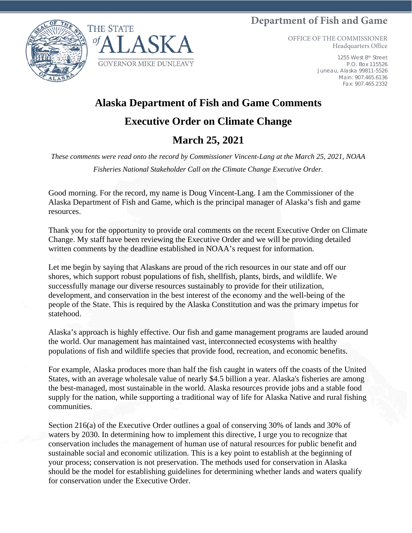## **Department of Fish and Game**





OFFICE OF THE COMMISSIONER Headquarters Office

> 1255 West 8th Street P.O. Box 115526 Juneau, Alaska 99811-5526 Main: 907.465.6136 Fax: 907.465.2332

## **Alaska Department of Fish and Game Comments**

## **Executive Order on Climate Change**

## **March 25, 2021**

*These comments were read onto the record by Commissioner Vincent-Lang at the March 25, 2021, NOAA Fisheries National Stakeholder Call on the Climate Change Executive Order.*

Good morning. For the record, my name is Doug Vincent-Lang. I am the Commissioner of the Alaska Department of Fish and Game, which is the principal manager of Alaska's fish and game resources.

Thank you for the opportunity to provide oral comments on the recent Executive Order on Climate Change. My staff have been reviewing the Executive Order and we will be providing detailed written comments by the deadline established in NOAA's request for information.

Let me begin by saying that Alaskans are proud of the rich resources in our state and off our shores, which support robust populations of fish, shellfish, plants, birds, and wildlife. We successfully manage our diverse resources sustainably to provide for their utilization, development, and conservation in the best interest of the economy and the well-being of the people of the State. This is required by the Alaska Constitution and was the primary impetus for statehood.

Alaska's approach is highly effective. Our fish and game management programs are lauded around the world. Our management has maintained vast, interconnected ecosystems with healthy populations of fish and wildlife species that provide food, recreation, and economic benefits.

For example, Alaska produces more than half the fish caught in waters off the coasts of the United States, with an average wholesale value of nearly \$4.5 billion a year. Alaska's fisheries are among the best-managed, most sustainable in the world. Alaska resources provide jobs and a stable food supply for the nation, while supporting a traditional way of life for Alaska Native and rural fishing communities.

Section 216(a) of the Executive Order outlines a goal of conserving 30% of lands and 30% of waters by 2030. In determining how to implement this directive, I urge you to recognize that conservation includes the management of human use of natural resources for public benefit and sustainable social and economic utilization. This is a key point to establish at the beginning of your process; conservation is not preservation. The methods used for conservation in Alaska should be the model for establishing guidelines for determining whether lands and waters qualify for conservation under the Executive Order.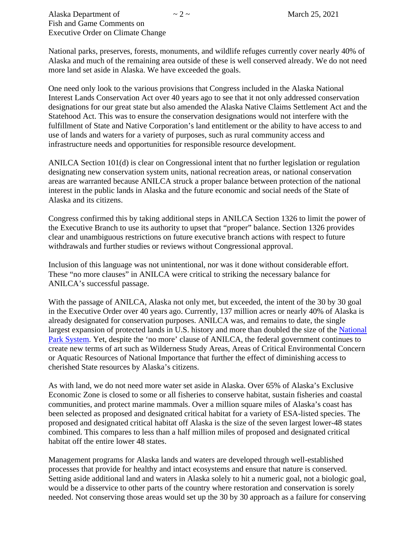National parks, preserves, forests, monuments, and wildlife refuges currently cover nearly 40% of Alaska and much of the remaining area outside of these is well conserved already. We do not need more land set aside in Alaska. We have exceeded the goals.

One need only look to the various provisions that Congress included in the Alaska National Interest Lands Conservation Act over 40 years ago to see that it not only addressed conservation designations for our great state but also amended the Alaska Native Claims Settlement Act and the Statehood Act. This was to ensure the conservation designations would not interfere with the fulfillment of State and Native Corporation's land entitlement or the ability to have access to and use of lands and waters for a variety of purposes, such as rural community access and infrastructure needs and opportunities for responsible resource development.

ANILCA Section 101(d) is clear on Congressional intent that no further legislation or regulation designating new conservation system units, national recreation areas, or national conservation areas are warranted because ANILCA struck a proper balance between protection of the national interest in the public lands in Alaska and the future economic and social needs of the State of Alaska and its citizens.

Congress confirmed this by taking additional steps in ANILCA Section 1326 to limit the power of the Executive Branch to use its authority to upset that "proper" balance. Section 1326 provides clear and unambiguous restrictions on future executive branch actions with respect to future withdrawals and further studies or reviews without Congressional approval.

Inclusion of this language was not unintentional, nor was it done without considerable effort. These "no more clauses" in ANILCA were critical to striking the necessary balance for ANILCA's successful passage.

With the passage of ANILCA, Alaska not only met, but exceeded, the intent of the 30 by 30 goal in the Executive Order over 40 years ago. Currently, 137 million acres or nearly 40% of Alaska is already designated for conservation purposes. ANILCA was, and remains to date, the single largest expansion of protected lands in U.S. history and more than doubled the size of the [National](https://en.wikipedia.org/wiki/National_Park_System)  [Park System.](https://en.wikipedia.org/wiki/National_Park_System) Yet, despite the 'no more' clause of ANILCA, the federal government continues to create new terms of art such as Wilderness Study Areas, Areas of Critical Environmental Concern or Aquatic Resources of National Importance that further the effect of diminishing access to cherished State resources by Alaska's citizens.

As with land, we do not need more water set aside in Alaska. Over 65% of Alaska's Exclusive Economic Zone is closed to some or all fisheries to conserve habitat, sustain fisheries and coastal communities, and protect marine mammals. Over a million square miles of Alaska's coast has been selected as proposed and designated critical habitat for a variety of ESA-listed species. The proposed and designated critical habitat off Alaska is the size of the seven largest lower-48 states combined. This compares to less than a half million miles of proposed and designated critical habitat off the entire lower 48 states.

Management programs for Alaska lands and waters are developed through well-established processes that provide for healthy and intact ecosystems and ensure that nature is conserved. Setting aside additional land and waters in Alaska solely to hit a numeric goal, not a biologic goal, would be a disservice to other parts of the country where restoration and conservation is sorely needed. Not conserving those areas would set up the 30 by 30 approach as a failure for conserving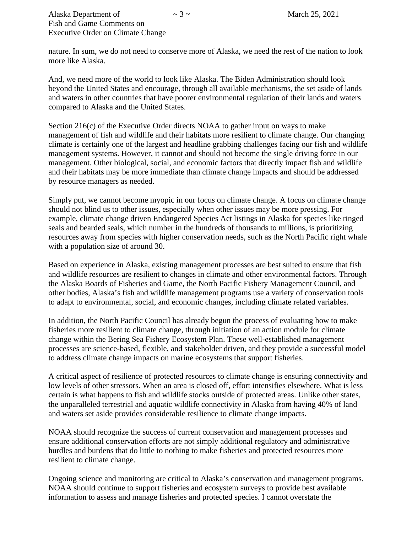nature. In sum, we do not need to conserve more of Alaska, we need the rest of the nation to look more like Alaska.

And, we need more of the world to look like Alaska. The Biden Administration should look beyond the United States and encourage, through all available mechanisms, the set aside of lands and waters in other countries that have poorer environmental regulation of their lands and waters compared to Alaska and the United States.

Section 216(c) of the Executive Order directs NOAA to gather input on ways to make management of fish and wildlife and their habitats more resilient to climate change. Our changing climate is certainly one of the largest and headline grabbing challenges facing our fish and wildlife management systems. However, it cannot and should not become the single driving force in our management. Other biological, social, and economic factors that directly impact fish and wildlife and their habitats may be more immediate than climate change impacts and should be addressed by resource managers as needed.

Simply put, we cannot become myopic in our focus on climate change. A focus on climate change should not blind us to other issues, especially when other issues may be more pressing. For example, climate change driven Endangered Species Act listings in Alaska for species like ringed seals and bearded seals, which number in the hundreds of thousands to millions, is prioritizing resources away from species with higher conservation needs, such as the North Pacific right whale with a population size of around 30.

Based on experience in Alaska, existing management processes are best suited to ensure that fish and wildlife resources are resilient to changes in climate and other environmental factors. Through the Alaska Boards of Fisheries and Game, the North Pacific Fishery Management Council, and other bodies, Alaska's fish and wildlife management programs use a variety of conservation tools to adapt to environmental, social, and economic changes, including climate related variables.

In addition, the North Pacific Council has already begun the process of evaluating how to make fisheries more resilient to climate change, through initiation of an action module for climate change within the Bering Sea Fishery Ecosystem Plan. These well-established management processes are science-based, flexible, and stakeholder driven, and they provide a successful model to address climate change impacts on marine ecosystems that support fisheries.

A critical aspect of resilience of protected resources to climate change is ensuring connectivity and low levels of other stressors. When an area is closed off, effort intensifies elsewhere. What is less certain is what happens to fish and wildlife stocks outside of protected areas. Unlike other states, the unparalleled terrestrial and aquatic wildlife connectivity in Alaska from having 40% of land and waters set aside provides considerable resilience to climate change impacts.

NOAA should recognize the success of current conservation and management processes and ensure additional conservation efforts are not simply additional regulatory and administrative hurdles and burdens that do little to nothing to make fisheries and protected resources more resilient to climate change.

Ongoing science and monitoring are critical to Alaska's conservation and management programs. NOAA should continue to support fisheries and ecosystem surveys to provide best available information to assess and manage fisheries and protected species. I cannot overstate the